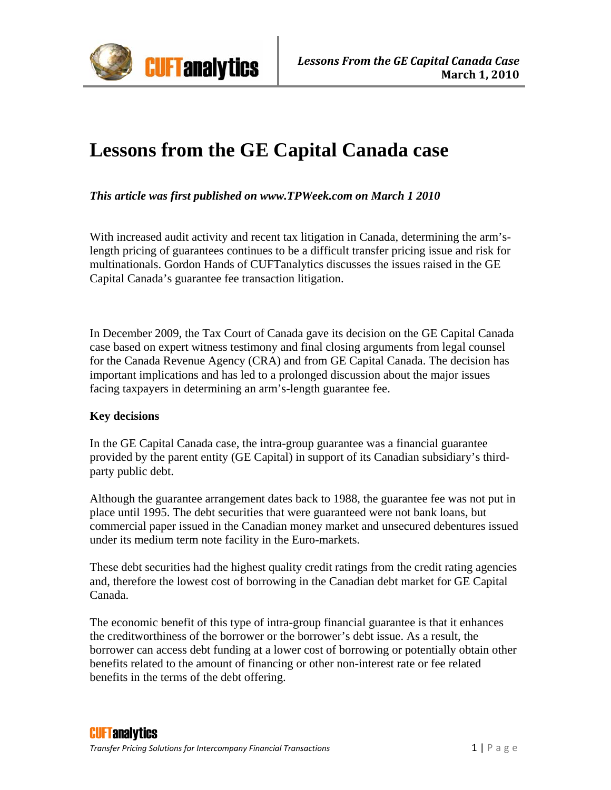

# **Lessons from the GE Capital Canada case**

*This article was first published on www.TPWeek.com on March 1 2010* 

With increased audit activity and recent tax litigation in Canada, determining the arm'slength pricing of guarantees continues to be a difficult transfer pricing issue and risk for multinationals. Gordon Hands of CUFTanalytics discusses the issues raised in the GE Capital Canada's guarantee fee transaction litigation.

In December 2009, the Tax Court of Canada gave its decision on the GE Capital Canada case based on expert witness testimony and final closing arguments from legal counsel for the Canada Revenue Agency (CRA) and from GE Capital Canada. The decision has important implications and has led to a prolonged discussion about the major issues facing taxpayers in determining an arm's-length guarantee fee.

#### **Key decisions**

In the GE Capital Canada case, the intra-group guarantee was a financial guarantee provided by the parent entity (GE Capital) in support of its Canadian subsidiary's thirdparty public debt.

Although the guarantee arrangement dates back to 1988, the guarantee fee was not put in place until 1995. The debt securities that were guaranteed were not bank loans, but commercial paper issued in the Canadian money market and unsecured debentures issued under its medium term note facility in the Euro-markets.

These debt securities had the highest quality credit ratings from the credit rating agencies and, therefore the lowest cost of borrowing in the Canadian debt market for GE Capital Canada.

The economic benefit of this type of intra-group financial guarantee is that it enhances the creditworthiness of the borrower or the borrower's debt issue. As a result, the borrower can access debt funding at a lower cost of borrowing or potentially obtain other benefits related to the amount of financing or other non-interest rate or fee related benefits in the terms of the debt offering.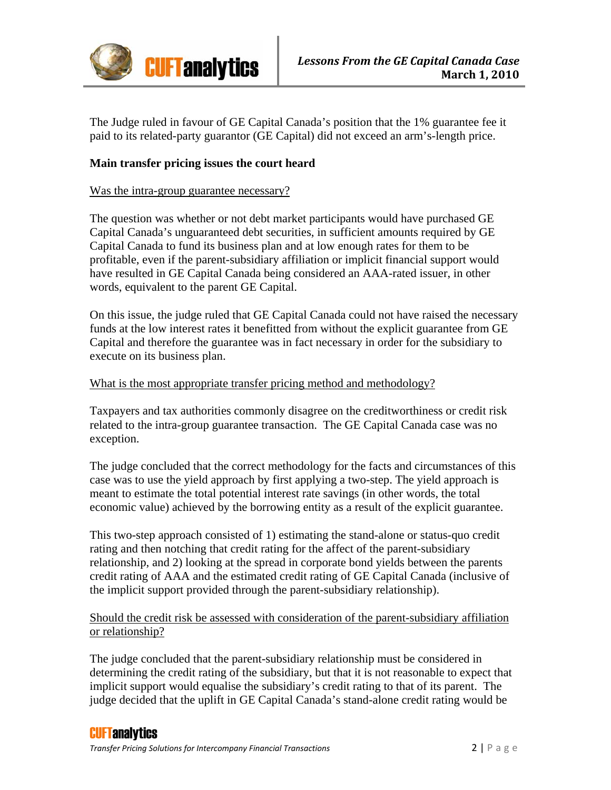

The Judge ruled in favour of GE Capital Canada's position that the 1% guarantee fee it paid to its related-party guarantor (GE Capital) did not exceed an arm's-length price.

## **Main transfer pricing issues the court heard**

#### Was the intra-group guarantee necessary?

The question was whether or not debt market participants would have purchased GE Capital Canada's unguaranteed debt securities, in sufficient amounts required by GE Capital Canada to fund its business plan and at low enough rates for them to be profitable, even if the parent-subsidiary affiliation or implicit financial support would have resulted in GE Capital Canada being considered an AAA-rated issuer, in other words, equivalent to the parent GE Capital.

On this issue, the judge ruled that GE Capital Canada could not have raised the necessary funds at the low interest rates it benefitted from without the explicit guarantee from GE Capital and therefore the guarantee was in fact necessary in order for the subsidiary to execute on its business plan.

#### What is the most appropriate transfer pricing method and methodology?

Taxpayers and tax authorities commonly disagree on the creditworthiness or credit risk related to the intra-group guarantee transaction. The GE Capital Canada case was no exception.

The judge concluded that the correct methodology for the facts and circumstances of this case was to use the yield approach by first applying a two-step. The yield approach is meant to estimate the total potential interest rate savings (in other words, the total economic value) achieved by the borrowing entity as a result of the explicit guarantee.

This two-step approach consisted of 1) estimating the stand-alone or status-quo credit rating and then notching that credit rating for the affect of the parent-subsidiary relationship, and 2) looking at the spread in corporate bond yields between the parents credit rating of AAA and the estimated credit rating of GE Capital Canada (inclusive of the implicit support provided through the parent-subsidiary relationship).

#### Should the credit risk be assessed with consideration of the parent-subsidiary affiliation or relationship?

The judge concluded that the parent-subsidiary relationship must be considered in determining the credit rating of the subsidiary, but that it is not reasonable to expect that implicit support would equalise the subsidiary's credit rating to that of its parent. The judge decided that the uplift in GE Capital Canada's stand-alone credit rating would be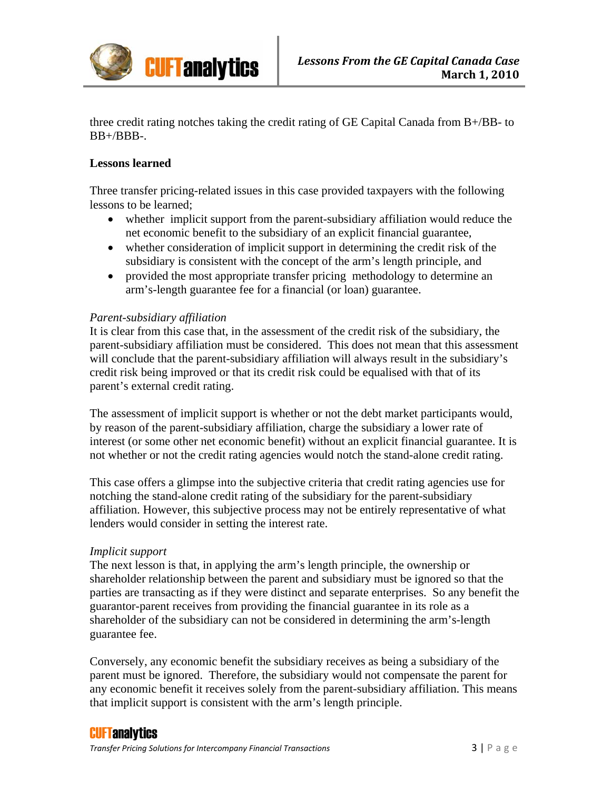

three credit rating notches taking the credit rating of GE Capital Canada from B+/BB- to BB+/BBB-.

# **Lessons learned**

Three transfer pricing-related issues in this case provided taxpayers with the following lessons to be learned;

- whether implicit support from the parent-subsidiary affiliation would reduce the net economic benefit to the subsidiary of an explicit financial guarantee,
- whether consideration of implicit support in determining the credit risk of the subsidiary is consistent with the concept of the arm's length principle, and
- provided the most appropriate transfer pricing methodology to determine an arm's-length guarantee fee for a financial (or loan) guarantee.

## *Parent-subsidiary affiliation*

It is clear from this case that, in the assessment of the credit risk of the subsidiary, the parent-subsidiary affiliation must be considered. This does not mean that this assessment will conclude that the parent-subsidiary affiliation will always result in the subsidiary's credit risk being improved or that its credit risk could be equalised with that of its parent's external credit rating.

The assessment of implicit support is whether or not the debt market participants would, by reason of the parent-subsidiary affiliation, charge the subsidiary a lower rate of interest (or some other net economic benefit) without an explicit financial guarantee. It is not whether or not the credit rating agencies would notch the stand-alone credit rating.

This case offers a glimpse into the subjective criteria that credit rating agencies use for notching the stand-alone credit rating of the subsidiary for the parent-subsidiary affiliation. However, this subjective process may not be entirely representative of what lenders would consider in setting the interest rate.

#### *Implicit support*

The next lesson is that, in applying the arm's length principle, the ownership or shareholder relationship between the parent and subsidiary must be ignored so that the parties are transacting as if they were distinct and separate enterprises. So any benefit the guarantor-parent receives from providing the financial guarantee in its role as a shareholder of the subsidiary can not be considered in determining the arm's-length guarantee fee.

Conversely, any economic benefit the subsidiary receives as being a subsidiary of the parent must be ignored. Therefore, the subsidiary would not compensate the parent for any economic benefit it receives solely from the parent-subsidiary affiliation. This means that implicit support is consistent with the arm's length principle.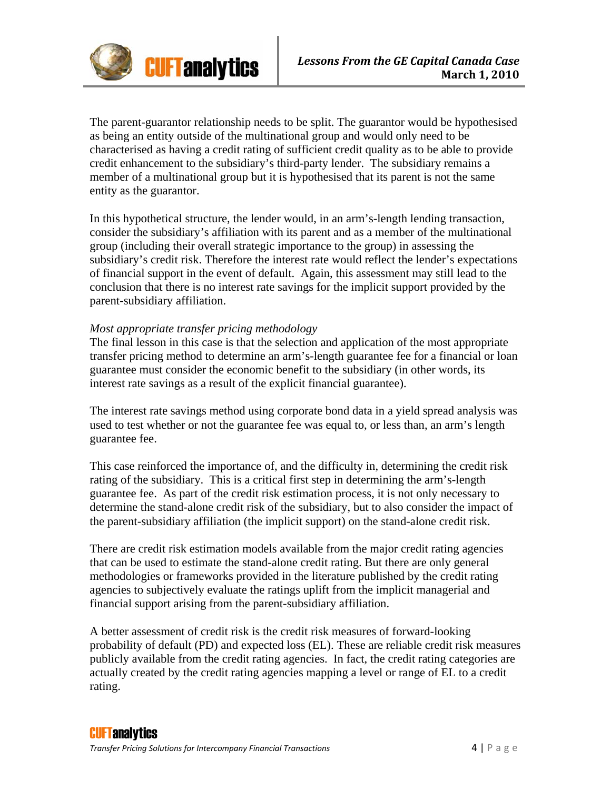

The parent-guarantor relationship needs to be split. The guarantor would be hypothesised as being an entity outside of the multinational group and would only need to be characterised as having a credit rating of sufficient credit quality as to be able to provide credit enhancement to the subsidiary's third-party lender. The subsidiary remains a member of a multinational group but it is hypothesised that its parent is not the same entity as the guarantor.

In this hypothetical structure, the lender would, in an arm's-length lending transaction, consider the subsidiary's affiliation with its parent and as a member of the multinational group (including their overall strategic importance to the group) in assessing the subsidiary's credit risk. Therefore the interest rate would reflect the lender's expectations of financial support in the event of default. Again, this assessment may still lead to the conclusion that there is no interest rate savings for the implicit support provided by the parent-subsidiary affiliation.

#### *Most appropriate transfer pricing methodology*

The final lesson in this case is that the selection and application of the most appropriate transfer pricing method to determine an arm's-length guarantee fee for a financial or loan guarantee must consider the economic benefit to the subsidiary (in other words, its interest rate savings as a result of the explicit financial guarantee).

The interest rate savings method using corporate bond data in a yield spread analysis was used to test whether or not the guarantee fee was equal to, or less than, an arm's length guarantee fee.

This case reinforced the importance of, and the difficulty in, determining the credit risk rating of the subsidiary. This is a critical first step in determining the arm's-length guarantee fee. As part of the credit risk estimation process, it is not only necessary to determine the stand-alone credit risk of the subsidiary, but to also consider the impact of the parent-subsidiary affiliation (the implicit support) on the stand-alone credit risk.

There are credit risk estimation models available from the major credit rating agencies that can be used to estimate the stand-alone credit rating. But there are only general methodologies or frameworks provided in the literature published by the credit rating agencies to subjectively evaluate the ratings uplift from the implicit managerial and financial support arising from the parent-subsidiary affiliation.

A better assessment of credit risk is the credit risk measures of forward-looking probability of default (PD) and expected loss (EL). These are reliable credit risk measures publicly available from the credit rating agencies. In fact, the credit rating categories are actually created by the credit rating agencies mapping a level or range of EL to a credit rating.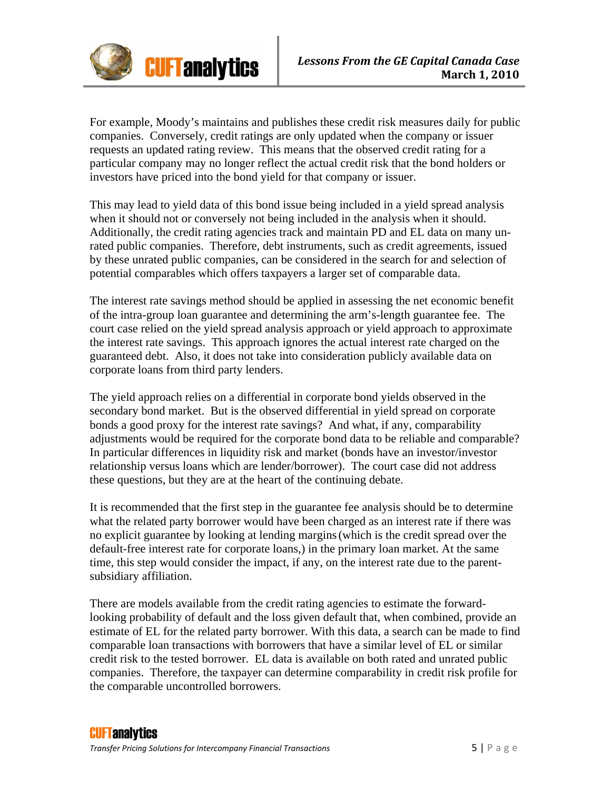

For example, Moody's maintains and publishes these credit risk measures daily for public companies. Conversely, credit ratings are only updated when the company or issuer requests an updated rating review. This means that the observed credit rating for a particular company may no longer reflect the actual credit risk that the bond holders or investors have priced into the bond yield for that company or issuer.

This may lead to yield data of this bond issue being included in a yield spread analysis when it should not or conversely not being included in the analysis when it should. Additionally, the credit rating agencies track and maintain PD and EL data on many unrated public companies. Therefore, debt instruments, such as credit agreements, issued by these unrated public companies, can be considered in the search for and selection of potential comparables which offers taxpayers a larger set of comparable data.

The interest rate savings method should be applied in assessing the net economic benefit of the intra-group loan guarantee and determining the arm's-length guarantee fee. The court case relied on the yield spread analysis approach or yield approach to approximate the interest rate savings. This approach ignores the actual interest rate charged on the guaranteed debt. Also, it does not take into consideration publicly available data on corporate loans from third party lenders.

The yield approach relies on a differential in corporate bond yields observed in the secondary bond market. But is the observed differential in yield spread on corporate bonds a good proxy for the interest rate savings? And what, if any, comparability adjustments would be required for the corporate bond data to be reliable and comparable? In particular differences in liquidity risk and market (bonds have an investor/investor relationship versus loans which are lender/borrower). The court case did not address these questions, but they are at the heart of the continuing debate.

It is recommended that the first step in the guarantee fee analysis should be to determine what the related party borrower would have been charged as an interest rate if there was no explicit guarantee by looking at lending margins(which is the credit spread over the default-free interest rate for corporate loans,) in the primary loan market. At the same time, this step would consider the impact, if any, on the interest rate due to the parentsubsidiary affiliation.

There are models available from the credit rating agencies to estimate the forwardlooking probability of default and the loss given default that, when combined, provide an estimate of EL for the related party borrower. With this data, a search can be made to find comparable loan transactions with borrowers that have a similar level of EL or similar credit risk to the tested borrower. EL data is available on both rated and unrated public companies. Therefore, the taxpayer can determine comparability in credit risk profile for the comparable uncontrolled borrowers.